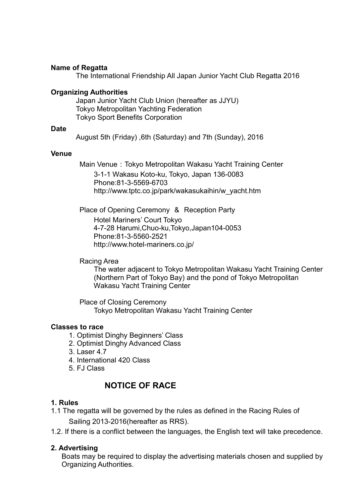#### **Name of Regatta**

The International Friendship All Japan Junior Yacht Club Regatta 2016

### **Organizing Authorities**

Japan Junior Yacht Club Union (hereafter as JJYU) Tokyo Metropolitan Yachting Federation Tokyo Sport Benefits Corporation

#### **Date**

August 5th (Friday) ,6th (Saturday) and 7th (Sunday), 2016

#### **Venue**

Main Venue: Tokyo Metropolitan Wakasu Yacht Training Center 3-1-1 Wakasu Koto-ku, Tokyo, Japan 136-0083 Phone:81-3-5569-6703 http://www.tptc.co.jp/park/wakasukaihin/w\_yacht.htm

Place of Opening Ceremony & Reception Party Hotel Mariners' Court Tokyo 4-7-28 Harumi,Chuo-ku,Tokyo,Japan104-0053 Phone:81-3-5560-2521 http://www.hotel-mariners.co.jp/

#### Racing Area

 The water adjacent to Tokyo Metropolitan Wakasu Yacht Training Center (Northern Part of Tokyo Bay) and the pond of Tokyo Metropolitan Wakasu Yacht Training Center

Place of Closing Ceremony Tokyo Metropolitan Wakasu Yacht Training Center

#### **Classes to race**

- 1. Optimist Dinghy Beginners' Class
- 2. Optimist Dinghy Advanced Class
- 3. Laser 4.7
- 4. International 420 Class
- 5. FJ Class

# **NOTICE OF RACE**

### **1. Rules**

- 1.1 The regatta will be governed by the rules as defined in the Racing Rules of Sailing 2013‐2016(hereafter as RRS).
- 1.2. If there is a conflict between the languages, the English text will take precedence.

### **2. Advertising**

Boats may be required to display the advertising materials chosen and supplied by Organizing Authorities.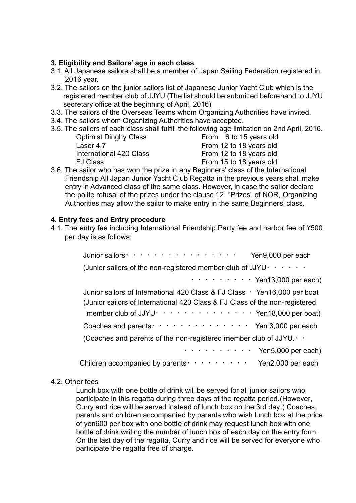### **3. Eligibility and Sailors' age in each class**

- 3.1. All Japanese sailors shall be a member of Japan Sailing Federation registered in 2016 year.
- 3.2. The sailors on the junior sailors list of Japanese Junior Yacht Club which is the registered member club of JJYU (The list should be submitted beforehand to JJYU secretary office at the beginning of April, 2016)
- 3.3. The sailors of the Overseas Teams whom Organizing Authorities have invited.
- 3.4. The sailors whom Organizing Authorities have accepted.
- 3.5. The sailors of each class shall fulfill the following age limitation on 2nd April, 2016.

| <b>Optimist Dinghy Class</b> |  |
|------------------------------|--|
| Laser 4.7                    |  |
| International 420 Class      |  |
| <b>FJ Class</b>              |  |

From 6 to 15 years old From 12 to 18 years old From 12 to 18 years old From 15 to 18 years old

3.6. The sailor who has won the prize in any Beginners' class of the International Friendship All Japan Junior Yacht Club Regatta in the previous years shall make entry in Advanced class of the same class. However, in case the sailor declare the polite refusal of the prizes under the clause 12. "Prizes" of NOR, Organizing Authorities may allow the sailor to make entry in the same Beginners' class.

### **4. Entry fees and Entry procedure**

4.1. The entry fee including International Friendship Party fee and harbor fee of ¥500 per day is as follows;

| Junior sailors $\cdot \cdot \cdot \cdot \cdot \cdot \cdot \cdot \cdot \cdot \cdot \cdot \cdot$<br>Yen9,000 per each                                                                                                                                                           |
|-------------------------------------------------------------------------------------------------------------------------------------------------------------------------------------------------------------------------------------------------------------------------------|
| (Junior sailors of the non-registered member club of JJYU $\cdot \cdot \cdot \cdot \cdot \cdot$                                                                                                                                                                               |
| $\cdots$ $\cdots$ $\cdots$ $\cdots$ Yen13,000 per each)                                                                                                                                                                                                                       |
| Junior sailors of International 420 Class & FJ Class · Yen16,000 per boat<br>(Junior sailors of International 420 Class & FJ Class of the non-registered<br>member club of JJYU $\cdot \cdot \cdot \cdot \cdot \cdot \cdot \cdot \cdot \cdot \cdot \cdot$ Yen18,000 per boat) |
| Coaches and parents $\cdots$ $\cdots$ $\cdots$ $\cdots$ $\cdots$ $\cdots$ Yen 3,000 per each                                                                                                                                                                                  |
| (Coaches and parents of the non-registered member club of JJYU. $\cdot$ .                                                                                                                                                                                                     |
| $\cdots$ $\cdots$ $\cdots$ $\cdots$ Yen5,000 per each)                                                                                                                                                                                                                        |
| Children accompanied by parents $\cdots \cdots \cdots$ Yen2,000 per each                                                                                                                                                                                                      |

### 4.2. Other fees

Lunch box with one bottle of drink will be served for all junior sailors who participate in this regatta during three days of the regatta period.(However, Curry and rice will be served instead of lunch box on the 3rd day.) Coaches, parents and children accompanied by parents who wish lunch box at the price of yen600 per box with one bottle of drink may request lunch box with one bottle of drink writing the number of lunch box of each day on the entry form. On the last day of the regatta, Curry and rice will be served for everyone who participate the regatta free of charge.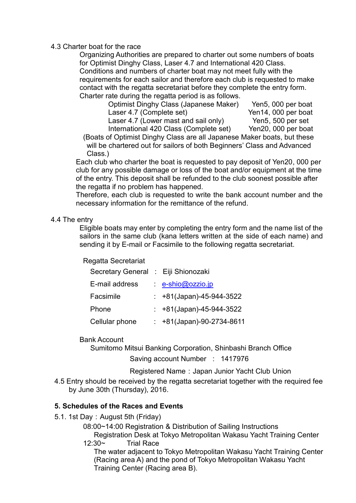### 4.3 Charter boat for the race

Organizing Authorities are prepared to charter out some numbers of boats for Optimist Dinghy Class, Laser 4.7 and International 420 Class. Conditions and numbers of charter boat may not meet fully with the requirements for each sailor and therefore each club is requested to make contact with the regatta secretariat before they complete the entry form. Charter rate during the regatta period is as follows.

| Optimist Dinghy Class (Japanese Maker) | Yen5, 000 per boat  |
|----------------------------------------|---------------------|
| Laser 4.7 (Complete set)               | Yen14, 000 per boat |
| Laser 4.7 (Lower mast and sail only)   | Yen5, 500 per set   |
| International 420 Class (Complete set) | Yen20, 000 per boat |

(Boats of Optimist Dinghy Class are all Japanese Maker boats, but these will be chartered out for sailors of both Beginners' Class and Advanced Class.)

Each club who charter the boat is requested to pay deposit of Yen20, 000 per club for any possible damage or loss of the boat and/or equipment at the time of the entry. This deposit shall be refunded to the club soonest possible after the regatta if no problem has happened.

Therefore, each club is requested to write the bank account number and the necessary information for the remittance of the refund.

### 4.4 The entry

Eligible boats may enter by completing the entry form and the name list of the sailors in the same club (kana letters written at the side of each name) and sending it by E-mail or Facsimile to the following regatta secretariat.

### Regatta Secretariat

| Secretary General : Eiji Shionozaki |                               |
|-------------------------------------|-------------------------------|
| E-mail address                      | $-e$ -shio@ozzio.jp           |
| Facsimile                           | $\div$ +81(Japan)-45-944-3522 |
| Phone                               | : $+81$ (Japan)-45-944-3522   |
| Cellular phone                      | +81(Japan)-90-2734-8611       |

### Bank Account

Sumitomo Mitsui Banking Corporation, Shinbashi Branch Office Saving account Number : 1417976

Registered Name: Japan Junior Yacht Club Union

4.5 Entry should be received by the regatta secretariat together with the required fee by June 30th (Thursday), 2016.

## **5. Schedules of the Races and Events**

- 5.1. 1st Day: August 5th (Friday)
	- 08:00~14:00 Registration & Distribution of Sailing Instructions Registration Desk at Tokyo Metropolitan Wakasu Yacht Training Center
	- 12:30~ Trial Race

The water adjacent to Tokyo Metropolitan Wakasu Yacht Training Center (Racing area A) and the pond of Tokyo Metropolitan Wakasu Yacht Training Center (Racing area B).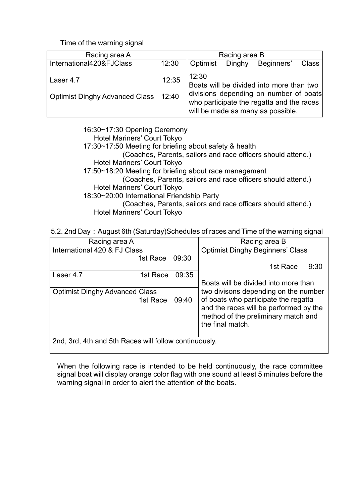Time of the warning signal

| Racing area A                                     |       |          | Racing area B |                                                                                                                                                                      |              |
|---------------------------------------------------|-------|----------|---------------|----------------------------------------------------------------------------------------------------------------------------------------------------------------------|--------------|
| International420&FJClass                          | 12:30 | Optimist | Dinghy        | Beginners'                                                                                                                                                           | <b>Class</b> |
| Laser 4.7<br>Optimist Dinghy Advanced Class 12:40 | 12:35 | 12:30    |               | Boats will be divided into more than two<br>divisions depending on number of boats<br>who participate the regatta and the races<br>will be made as many as possible. |              |

16:30~17:30 Opening Ceremony Hotel Mariners' Court Tokyo 17:30~17:50 Meeting for briefing about safety & health (Coaches, Parents, sailors and race officers should attend.) Hotel Mariners' Court Tokyo 17:50~18:20 Meeting for briefing about race management (Coaches, Parents, sailors and race officers should attend.) Hotel Mariners' Court Tokyo 18:30~20:00 International Friendship Party (Coaches, Parents, sailors and race officers should attend.) Hotel Mariners' Court Tokyo

5.2. 2nd Day: August 6th (Saturday)Schedules of races and Time of the warning signal

| Racing area A                                         |          |       | Racing area B                                                                                                                             |  |  |
|-------------------------------------------------------|----------|-------|-------------------------------------------------------------------------------------------------------------------------------------------|--|--|
| International 420 & FJ Class                          |          |       | <b>Optimist Dinghy Beginners' Class</b>                                                                                                   |  |  |
|                                                       | 1st Race | 09:30 |                                                                                                                                           |  |  |
|                                                       |          |       | 1st Race<br>9:30                                                                                                                          |  |  |
| Laser 4.7                                             | 1st Race | 09:35 |                                                                                                                                           |  |  |
|                                                       |          |       | Boats will be divided into more than                                                                                                      |  |  |
| <b>Optimist Dinghy Advanced Class</b>                 |          |       | two divisons depending on the number                                                                                                      |  |  |
|                                                       | 1st Race | 09:40 | of boats who participate the regatta<br>and the races will be performed by the<br>method of the preliminary match and<br>the final match. |  |  |
| 2nd, 3rd, 4th and 5th Races will follow continuously. |          |       |                                                                                                                                           |  |  |

When the following race is intended to be held continuously, the race committee signal boat will display orange color flag with one sound at least 5 minutes before the warning signal in order to alert the attention of the boats.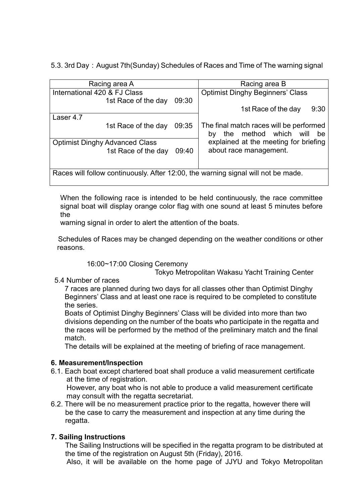5.3. 3rd Day: August 7th(Sunday) Schedules of Races and Time of The warning signal

| Racing area A                                                                     | Racing area B                           |  |  |
|-----------------------------------------------------------------------------------|-----------------------------------------|--|--|
| International 420 & FJ Class                                                      | <b>Optimist Dinghy Beginners' Class</b> |  |  |
| 09:30<br>1st Race of the day                                                      |                                         |  |  |
|                                                                                   | 1st Race of the day<br>9:30             |  |  |
| Laser 4.7                                                                         |                                         |  |  |
| 09:35<br>1st Race of the day                                                      | The final match races will be performed |  |  |
|                                                                                   | the method which will<br>be<br>by       |  |  |
| <b>Optimist Dinghy Advanced Class</b>                                             | explained at the meeting for briefing   |  |  |
| 1st Race of the day<br>09:40                                                      | about race management.                  |  |  |
|                                                                                   |                                         |  |  |
|                                                                                   |                                         |  |  |
| Races will follow continuously. After 12:00, the warning signal will not be made. |                                         |  |  |

When the following race is intended to be held continuously, the race committee signal boat will display orange color flag with one sound at least 5 minutes before the

warning signal in order to alert the attention of the boats.

Schedules of Races may be changed depending on the weather conditions or other reasons.

## 16:00~17:00 Closing Ceremony

Tokyo Metropolitan Wakasu Yacht Training Center

## 5.4 Number of races

7 races are planned during two days for all classes other than Optimist Dinghy Beginners' Class and at least one race is required to be completed to constitute the series.

Boats of Optimist Dinghy Beginners' Class will be divided into more than two divisions depending on the number of the boats who participate in the regatta and the races will be performed by the method of the preliminary match and the final match.

The details will be explained at the meeting of briefing of race management.

## **6. Measurement/Inspection**

6.1. Each boat except chartered boat shall produce a valid measurement certificate at the time of registration. However, any boat who is not able to produce a valid measurement certificate

may consult with the regatta secretariat.

6.2. There will be no measurement practice prior to the regatta, however there will be the case to carry the measurement and inspection at any time during the regatta.

# **7. Sailing Instructions**

The Sailing Instructions will be specified in the regatta program to be distributed at the time of the registration on August 5th (Friday), 2016.

Also, it will be available on the home page of JJYU and Tokyo Metropolitan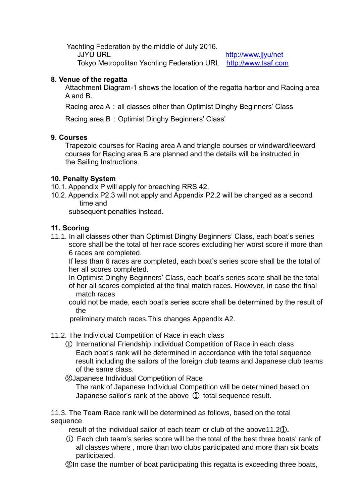Yachting Federation by the middle of July 2016.

JJYU URL <http://www.jjyu/net>

Tokyo Metropolitan Yachting Federation URL [http://www.tsaf.com](http://www.tsaf.com/)

## **8. Venue of the regatta**

Attachment Diagram-1 shows the location of the regatta harbor and Racing area A and B.

Racing area A: all classes other than Optimist Dinghy Beginners' Class

Racing area B: Optimist Dinghy Beginners' Class'

## **9. Courses**

Trapezoid courses for Racing area A and triangle courses or windward/leeward courses for Racing area B are planned and the details will be instructed in the Sailing Instructions.

## **10. Penalty System**

- 10.1. Appendix P will apply for breaching RRS 42.
- 10.2. Appendix P2.3 will not apply and Appendix P2.2 will be changed as a second time and

subsequent penalties instead.

# **11. Scoring**

11.1. In all classes other than Optimist Dinghy Beginners' Class, each boat's series score shall be the total of her race scores excluding her worst score if more than 6 races are completed.

 If less than 6 races are completed, each boat's series score shall be the total of her all scores completed.

 In Optimist Dinghy Beginners' Class, each boat's series score shall be the total of her all scores completed at the final match races. However, in case the final match races

 could not be made, each boat's series score shall be determined by the result of the

preliminary match races.This changes Appendix A2.

# 11.2. The Individual Competition of Race in each class

- ① International Friendship Individual Competition of Race in each class Each boat's rank will be determined in accordance with the total sequence result including the sailors of the foreign club teams and Japanese club teams of the same class.
- ②Japanese Individual Competition of Race

The rank of Japanese Individual Competition will be determined based on Japanese sailor's rank of the above ① total sequence result.

11.3. The Team Race rank will be determined as follows, based on the total sequence

result of the individual sailor of each team or club of the above11.2①**.**

① Each club team's series score will be the total of the best three boats' rank of all classes where , more than two clubs participated and more than six boats participated.

②In case the number of boat participating this regatta is exceeding three boats,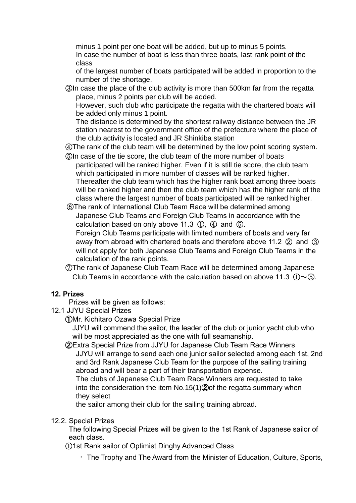minus 1 point per one boat will be added, but up to minus 5 points. In case the number of boat is less than three boats, last rank point of the class

of the largest number of boats participated will be added in proportion to the number of the shortage.

③In case the place of the club activity is more than 500km far from the regatta place, minus 2 points per club will be added.

However, such club who participate the regatta with the chartered boats will be added only minus 1 point.

The distance is determined by the shortest railway distance between the JR station nearest to the government office of the prefecture where the place of the club activity is located and JR Shinkiba station

④The rank of the club team will be determined by the low point scoring system.

⑤In case of the tie score, the club team of the more number of boats participated will be ranked higher. Even if it is still tie score, the club team which participated in more number of classes will be ranked higher. Thereafter the club team which has the higher rank boat among three boats will be ranked higher and then the club team which has the higher rank of the class where the largest number of boats participated will be ranked higher.

⑥The rank of International Club Team Race will be determined among Japanese Club Teams and Foreign Club Teams in accordance with the calculation based on only above 11.3 ①, ④ and ⑤.

Foreign Club Teams participate with limited numbers of boats and very far away from abroad with chartered boats and therefore above 11.2 ② and ③ will not apply for both Japanese Club Teams and Foreign Club Teams in the calculation of the rank points.

⑦The rank of Japanese Club Team Race will be determined among Japanese Club Teams in accordance with the calculation based on above 11.3  $(D\sim\textcircled{5})$ .

# **12. Prizes**

Prizes will be given as follows:

12.1 JJYU Special Prizes

①Mr. Kichitaro Ozawa Special Prize

JJYU will commend the sailor, the leader of the club or junior yacht club who will be most appreciated as the one with full seamanship.

②Extra Special Prize from JJYU for Japanese Club Team Race Winners JJYU will arrange to send each one junior sailor selected among each 1st, 2nd and 3rd Rank Japanese Club Team for the purpose of the sailing training abroad and will bear a part of their transportation expense.

The clubs of Japanese Club Team Race Winners are requested to take into the consideration the item No.15(1)②of the regatta summary when they select

the sailor among their club for the sailing training abroad.

12.2. Special Prizes

The following Special Prizes will be given to the 1st Rank of Japanese sailor of each class.

①1st Rank sailor of Optimist Dinghy Advanced Class

・The Trophy and The Award from the Minister of Education, Culture, Sports,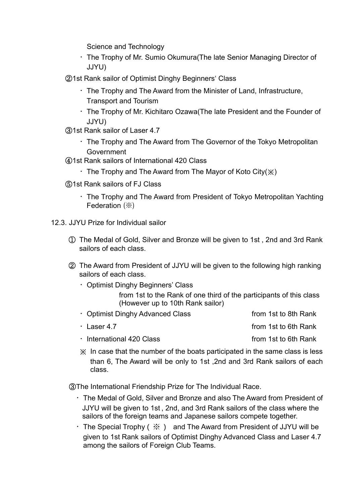Science and Technology

- ・The Trophy of Mr. Sumio Okumura(The late Senior Managing Director of JJYU)
- ②1st Rank sailor of Optimist Dinghy Beginners' Class
	- $\cdot$  The Trophy and The Award from the Minister of Land, Infrastructure, Transport and Tourism
	- ・The Trophy of Mr. Kichitaro Ozawa(The late President and the Founder of JJYU)
- ③1st Rank sailor of Laser 4.7
	- ・The Trophy and The Award from The Governor of the Tokyo Metropolitan Government
- ④1st Rank sailors of International 420 Class
	- $\cdot$  The Trophy and The Award from The Mayor of Koto City( $\chi$ )
- ⑤1st Rank sailors of FJ Class
	- ・The Trophy and The Award from President of Tokyo Metropolitan Yachting Federation (※)
- 12.3. JJYU Prize for Individual sailor
	- ① The Medal of Gold, Silver and Bronze will be given to 1st , 2nd and 3rd Rank sailors of each class.
	- ② The Award from President of JJYU will be given to the following high ranking sailors of each class.
		- ・Optimist Dinghy Beginners' Class from 1st to the Rank of one third of the participants of this class (However up to 10th Rank sailor)
		- Optimist Dinghy Advanced Class from 1st to 8th Rank ・Laser 4.7 from 1st to 6th Rank
		- International 420 Class **from 1st to 6th Rank**
		- ※ In case that the number of the boats participated in the same class is less than 6, The Award will be only to 1st ,2nd and 3rd Rank sailors of each class.

③The International Friendship Prize for The Individual Race.

- ・The Medal of Gold, Silver and Bronze and also The Award from President of JJYU will be given to 1st , 2nd, and 3rd Rank sailors of the class where the sailors of the foreign teams and Japanese sailors compete together.
- $\cdot$  The Special Trophy (  $\frac{1}{2}$  ) and The Award from President of JJYU will be given to 1st Rank sailors of Optimist Dinghy Advanced Class and Laser 4.7 among the sailors of Foreign Club Teams.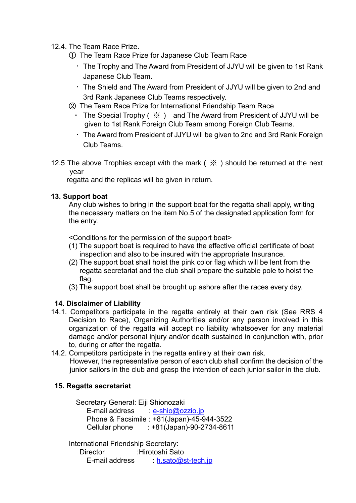### 12.4. The Team Race Prize.

① The Team Race Prize for Japanese Club Team Race

- ・The Trophy and The Award from President of JJYU will be given to 1st Rank Japanese Club Team.
- ・The Shield and The Award from President of JJYU will be given to 2nd and 3rd Rank Japanese Club Teams respectively.
- ② The Team Race Prize for International Friendship Team Race
	- The Special Trophy  $( % )$  and The Award from President of JJYU will be given to 1st Rank Foreign Club Team among Foreign Club Teams.
	- ・The Award from President of JJYU will be given to 2nd and 3rd Rank Foreign Club Teams.
- 12.5 The above Trophies except with the mark ( $\frac{1}{2}$ ) should be returned at the next year

regatta and the replicas will be given in return.

## **13. Support boat**

 Any club wishes to bring in the support boat for the regatta shall apply, writing the necessary matters on the item No.5 of the designated application form for the entry.

<Conditions for the permission of the support boat>

- (1) The support boat is required to have the effective official certificate of boat inspection and also to be insured with the appropriate Insurance.
- (2) The support boat shall hoist the pink color flag which will be lent from the regatta secretariat and the club shall prepare the suitable pole to hoist the flag.
- (3) The support boat shall be brought up ashore after the races every day.

## **14. Disclaimer of Liability**

- 14.1. Competitors participate in the regatta entirely at their own risk (See RRS 4 Decision to Race), Organizing Authorities and/or any person involved in this organization of the regatta will accept no liability whatsoever for any material damage and/or personal injury and/or death sustained in conjunction with, prior to, during or after the regatta.
- 14.2. Competitors participate in the regatta entirely at their own risk. However, the representative person of each club shall confirm the decision of the junior sailors in the club and grasp the intention of each junior sailor in the club.

## **15. Regatta secretariat**

Secretary General: Eiji Shionozaki

E-mail address : [e-shio@ozzio.jp](mailto:e-shio@ozzio.jp) Phone & Facsimile : +81(Japan)-45-944-3522 Cellular phone : +81(Japan)-90-2734-8611

International Friendship Secretary: Director :Hirotoshi Sato E-mail address : [h.sato@st-tech.jp](mailto:h.sato@st-tech.jp)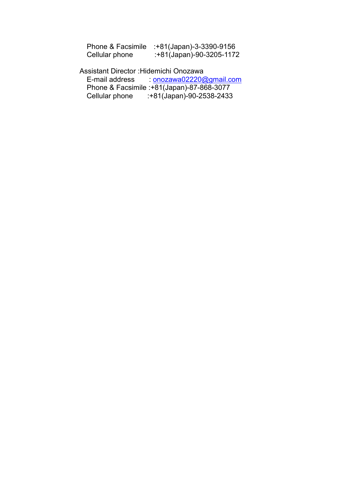|                | Phone & Facsimile :+81(Japan)-3-3390-9156 |
|----------------|-------------------------------------------|
| Cellular phone | :+81(Japan)-90-3205-1172                  |

Assistant Director :Hidemichi Onozawa E-mail address : [onozawa02220@gmail.com](mailto:onozawa02220@gmail.com) Phone & Facsimile :+81(Japan)-87-868-3077 Cellular phone :+81(Japan)-90-2538-2433